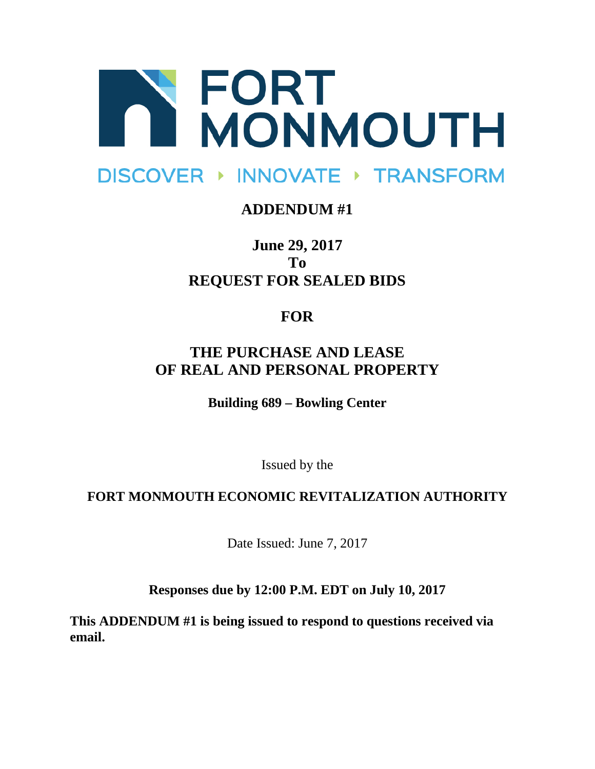

# DISCOVER ▶ INNOVATE ▶ TRANSFORM

#### **ADDENDUM #1**

**June 29, 2017 To REQUEST FOR SEALED BIDS**

## **FOR**

### **THE PURCHASE AND LEASE OF REAL AND PERSONAL PROPERTY**

**Building 689 – Bowling Center**

Issued by the

#### **FORT MONMOUTH ECONOMIC REVITALIZATION AUTHORITY**

Date Issued: June 7, 2017

**Responses due by 12:00 P.M. EDT on July 10, 2017**

**This ADDENDUM #1 is being issued to respond to questions received via email.**